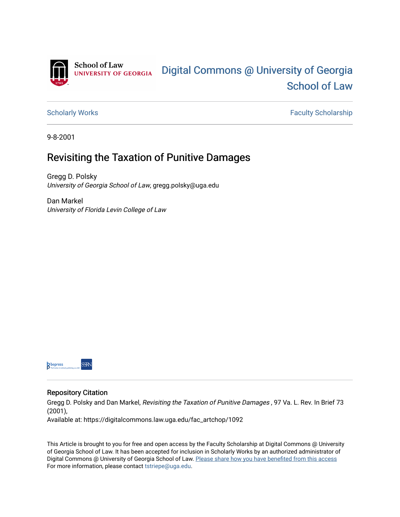

[Scholarly Works](https://digitalcommons.law.uga.edu/fac_artchop) **Faculty Scholarship** Scholarship

9-8-2001

## Revisiting the Taxation of Punitive Damages

Gregg D. Polsky University of Georgia School of Law, gregg.polsky@uga.edu

Dan Markel University of Florida Levin College of Law



#### Repository Citation

Gregg D. Polsky and Dan Markel, Revisiting the Taxation of Punitive Damages , 97 Va. L. Rev. In Brief 73 (2001),

Available at: https://digitalcommons.law.uga.edu/fac\_artchop/1092

This Article is brought to you for free and open access by the Faculty Scholarship at Digital Commons @ University of Georgia School of Law. It has been accepted for inclusion in Scholarly Works by an authorized administrator of Digital Commons @ University of Georgia School of Law. Please share how you have benefited from this access For more information, please contact [tstriepe@uga.edu](mailto:tstriepe@uga.edu).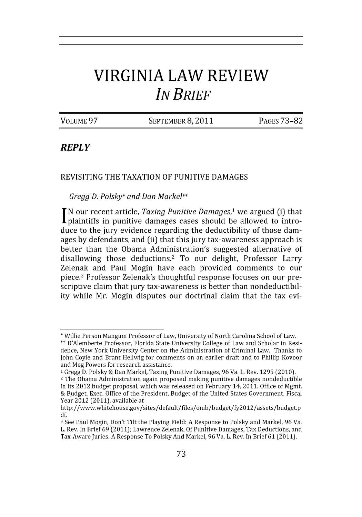# **VIRGINIA LAW REVIEW** *IN BRIEF*

VOLUME 97 SEPTEMBER **8,** 2011 PAGES 73-82

## *REPLY*

### **REVISITING** THE **TAXATION** OF **PUNITIVE DAMAGES**

#### *Gregg D. Polsky\* and Dan Markel\*\**

**N** our recent article, *Taxing Punitive Damages,'* we argued (i) that plaintiffs in punitive damages cases should be allowed to introduce to the jury evidence regarding the deductibility of those damages by defendants, and (ii) that this jury tax-awareness approach is better than the Obama Administration's suggested alternative of disallowing those deductions.2 To our delight, Professor Larry Zelenak and Paul Mogin have each provided comments to our piece.<sup>3</sup> Professor Zelenak's thoughtful response focuses on our prescriptive claim that jury tax-awareness is better than nondeductibility while Mr. Mogin disputes our doctrinal claim that the tax evi-

**<sup>\*</sup>** Willie Person Mangum Professor of Law, University of North Carolina School of Law.

**<sup>\*\*</sup>** D'Alemberte Professor, Florida State University College of Law and Scholar in Residence, New York University Center on the Administration of Criminal Law. Thanks to John Coyle and Brant Hellwig for comments on an earlier draft and to Phillip Kovoor and Meg Powers for research assistance.

**<sup>1</sup>** Gregg D. Polsky & Dan Markel, Taxing Punitive Damages, 96 Va. L. Rev. 1295 (2010).

<sup>2</sup> The Obama Administration again proposed making punitive damages nondeductible in its 2012 budget proposal, which was released on February 14, 2011. Office of Mgmt. & Budget, Exec. Office of the President, Budget of the United States Government, Fiscal Year 2012 (2011), available at

http: //www.whitehouse.gov/sites/ default/files/ omb/budget/fy20 12 /assets/budget.p df.

**<sup>3</sup>** See Paul Mogin, Don't Tilt the Playing Field: A Response to Polsky and Markel, 96 Va. L. Rev. In Brief 69 (2011); Lawrence Zelenak, Of Punitive Damages, Tax Deductions, and Tax-Aware Juries: A Response To PolskyAnd Markel, 96 Va. L. Rev. In Brief 61 (2011).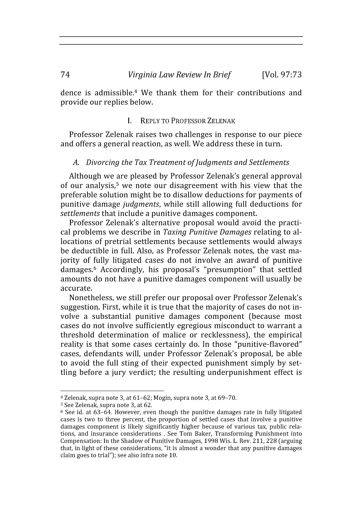dence is admissible.<sup>4</sup> We thank them for their contributions and provide our replies below.

#### **1.** REPLY TO PROFESSOR ZELENAK

Professor Zelenak raises two challenges in response to our piece and offers a general reaction, as well. We address these in turn.

#### *A. Divorcing the Tax Treatment ofJudgments and Settlements*

Although we are pleased by Professor Zelenak's general approval of our analysis,<sup>5</sup> we note our disagreement with his view that the preferable solution might be to disallow deductions for payments of punitive damage *judgments,* while still allowing full deductions for *settlements* that include a punitive damages component.

Professor Zelenak's alternative proposal would avoid the practical problems we describe in *Taxing Punitive Damages* relating to allocations of pretrial settlements because settlements would always be deductible in full. Also, as Professor Zelenak notes, the vast majority of fully litigated cases do not involve an award of punitive damages.<sup>6</sup> Accordingly, his proposal's "presumption" that settled amounts do not have a punitive damages component will usually be accurate.

Nonetheless, we still prefer our proposal over Professor Zelenak's suggestion. First, while it is true that the majority of cases do not involve a substantial punitive damages component (because most cases do not involve sufficiently egregious misconduct to warrant a threshold determination of malice or recklessness), the empirical reality is that some cases certainly do. In those "punitive-flavored" cases, defendants will, under Professor Zelenak's proposal, be able to avoid the full sting of their expected punishment simply by settling before a jury verdict; the resulting underpunishment effect is

<sup>4</sup> Zelenak, supra note **3,** at 61-62; Mogin, supra note 3, at 69-70.

**<sup>5</sup>** See Zelenak, supra note 3, at 62.

**<sup>6</sup>** See id. at 63-64. However, even though the punitive damages rate in fully litigated cases is two to three percent, the proportion of settled cases that involve a punitive damages component is likely significantly higher because of various tax, public relations, and insurance considerations . See Tom Baker, Transforming Punishment into Compensation: In the Shadow of Punitive Damages, 1998 Wis. L. Rev. 211, 228 (arguing that, in light of these considerations, "it is almost a wonder that any punitive damages claim goes to trial"); see also infra note 10.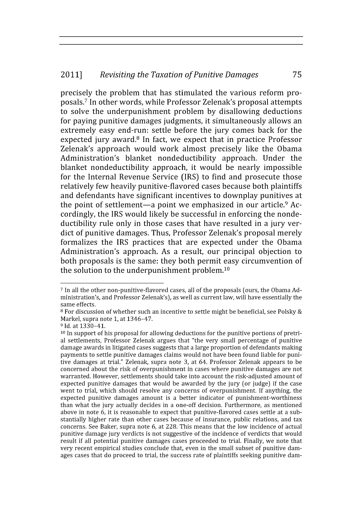#### 2011] *Revisiting the Taxation of Punitive Damages* 75

precisely the problem that has stimulated the various reform proposals. 7 In other words, while Professor Zelenak's proposal attempts to solve the underpunishment problem by disallowing deductions for paying punitive damages judgments, it simultaneously allows an extremely easy end-run: settle before the jury comes back for the expected jury award.<sup>8</sup> In fact, we expect that in practice Professor Zelenak's approach would work almost precisely like the Obama Administration's blanket nondeductibility approach. Under the blanket nondeductibility approach, it would be nearly impossible for the Internal Revenue Service (IRS) to find and prosecute those relatively few heavily punitive-flavored cases because both plaintiffs and defendants have significant incentives to downplay punitives at the point of settlement—a point we emphasized in our article.<sup>9</sup> Accordingly, the IRS would likely be successful in enforcing the nondeductibility rule only in those cases that have resulted in a jury verdict of punitive damages. Thus, Professor Zelenak's proposal merely formalizes the IRS practices that are expected under the Obama Administration's approach. As a result, our principal objection to both proposals is the same: they both permit easy circumvention of the solution to the underpunishment problem.<sup>10</sup>

**<sup>7</sup>** In all the other non-punitive-flavored cases, all of the proposals (ours, the Obama Administration's, and Professor Zelenak's), as well as current law, will have essentially the same effects.

**<sup>8</sup>** For discussion of whether such an incentive to settle might be beneficial, see Polsky & Markel, supra note 1, at 1346-47.

**<sup>9</sup>** Id. at 1330-41.

**<sup>10</sup>** In support of his proposal for allowing deductions for the punitive portions of pretrial settlements, Professor Zelenak argues that "the very small percentage of punitive damage awards in litigated cases suggests that a large proportion of defendants making payments to settle punitive damages claims would not have been found liable for punitive damages at trial." Zelenak, supra note 3, at 64. Professor Zelenak appears to be concerned about the risk of overpunishment in cases where punitive damages are not warranted. However, settlements should take into account the risk-adjusted amount of expected punitive damages that would be awarded by the jury (or judge) if the case went to trial, which should resolve any concerns of overpunishment. If anything, the expected punitive damages amount is a better indicator of punishment-worthiness than what the jury actually decides in a one-off decision. Furthermore, as mentioned above in note 6, it is reasonable to expect that punitive-flavored cases settle at a substantially higher rate than other cases because of insurance, public relations, and tax concerns. See Baker, supra note 6, at 228. This means that the low incidence of actual punitive damage jury verdicts is not suggestive of the incidence of verdicts that would result if all potential punitive damages cases proceeded to trial. Finally, we note that very recent empirical studies conclude that, even in the small subset of punitive damages cases that do proceed to trial, the success rate of plaintiffs seeking punitive dam-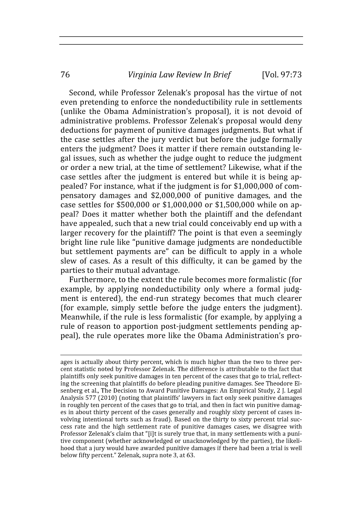*Virginia Law Review In Brief*

Second, while Professor Zelenak's proposal has the virtue of not even pretending to enforce the nondeductibility rule in settlements (unlike the Obama Administration's proposal), it is not devoid of administrative problems. Professor Zelenak's proposal would deny deductions for payment of punitive damages judgments. But what if the case settles after the jury verdict but before the judge formally enters the judgment? Does it matter if there remain outstanding legal issues, such as whether the judge ought to reduce the judgment or order a new trial, at the time of settlement? Likewise, what if the case settles after the judgment is entered but while it is being appealed? For instance, what if the judgment is for \$1,000,000 of compensatory damages and \$2,000,000 of punitive damages, and the case settles for \$500,000 or \$1,000,000 or \$1,500,000 while on appeal? Does it matter whether both the plaintiff and the defendant have appealed, such that a new trial could conceivably end up with a larger recovery for the plaintiff? The point is that even a seemingly bright line rule like "punitive damage judgments are nondeductible but settlement payments are" can be difficult to apply in a whole slew of cases. As a result of this difficulty, it can be gamed by the parties to their mutual advantage.

Furthermore, to the extent the rule becomes more formalistic (for example, by applying nondeductibility only where a formal judgment is entered), the end-run strategy becomes that much clearer (for example, simply settle before the judge enters the judgment). Meanwhile, if the rule is less formalistic (for example, by applying a rule of reason to apportion post-judgment settlements pending appeal), the rule operates more like the Obama Administration's pro-

76

ages is actually about thirty percent, which is much higher than the two to three percent statistic noted by Professor Zelenak. The difference is attributable to the fact that plaintiffs only seek punitive damages in ten percent of the cases that go to trial, reflecting the screening that plaintiffs do before pleading punitive damages. See Theodore Eisenberg et al., The Decision to Award Punitive Damages: An Empirical Study, 2 **J.** Legal Analysis 577 (2010) (noting that plaintiffs' lawyers in fact only seek punitive damages in roughly ten percent of the cases that go to trial, and then in fact win punitive damages in about thirty percent of the cases generally and roughly sixty percent of cases involving intentional torts such as fraud). Based on the thirty to sixty percent trial success rate and the high settlement rate of punitive damages cases, we disagree with Professor Zelenak's claim that "[i]t is surely true that, in many settlements with a punitive component (whether acknowledged or unacknowledged by the parties), the likelihood that a jury would have awarded punitive damages if there had been a trial is well below fifty percent." Zelenak, supra note 3, at 63.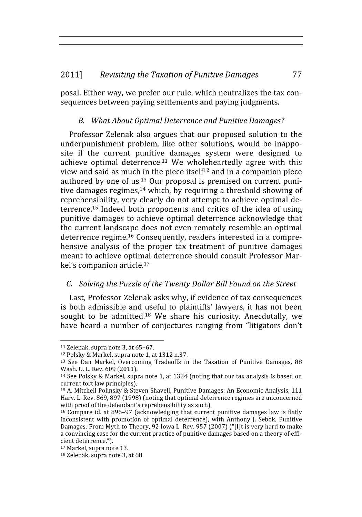#### 2011] *Revisiting the Taxation of Punitive Damages* 77

posal. Either way, we prefer our rule, which neutralizes the tax consequences between paying settlements and paying judgments.

### *B. What About Optimal Deterrence and Punitive Damages?*

Professor Zelenak also argues that our proposed solution to the underpunishment problem, like other solutions, would be inapposite if the current punitive damages system were designed to achieve optimal deterrence.<sup>11</sup> We wholeheartedly agree with this view and said as much in the piece itself<sup>12</sup> and in a companion piece authored by one of us.13 Our proposal is premised on current punitive damages regimes,<sup>14</sup> which, by requiring a threshold showing of reprehensibility, very clearly do not attempt to achieve optimal deterrence.<sup>15</sup> Indeed both proponents and critics of the idea of using punitive damages to achieve optimal deterrence acknowledge that the current landscape does not even remotely resemble an optimal deterrence regime.<sup>16</sup> Consequently, readers interested in a comprehensive analysis of the proper tax treatment of punitive damages meant to achieve optimal deterrence should consult Professor Markel's companion article. $17$ 

### *C. Solving the Puzzle of the Twenty Dollar Bill Found on the Street*

Last, Professor Zelenak asks why, if evidence of tax consequences is both admissible and useful to plaintiffs' lawyers, it has not been sought to be admitted.<sup>18</sup> We share his curiosity. Anecdotally, we have heard a number of conjectures ranging from "litigators don't

**<sup>11</sup>**Zelenak, supra note 3, at 65-67.

**<sup>12</sup>**Polsky & Markel, supra note 1, at 1312 n.37.

**<sup>13</sup>**See Dan Markel, Overcoming Tradeoffs in the Taxation of Punitive Damages, 88 Wash. U. L. Rev. 609 (2011).

 $14$  See Polsky & Markel, supra note 1, at 1324 (noting that our tax analysis is based on current tort law principles).

**<sup>15</sup>**A. Mitchell Polinsky & Steven Shavell, Punitive Damages: An Economic Analysis, 111 Harv. L. Rev. 869, 897 (1998) (noting that optimal deterrence regimes are unconcerned with proof of the defendant's reprehensibility as such).

**<sup>16</sup>**Compare id. at 896-97 (acknowledging that current punitive damages law is flatly inconsistent with promotion of optimal deterrence), with Anthony J. Sebok, Punitive Damages: From Myth to Theory, 92 Iowa L. Rev. 957 (2007) ("[I]t is very hard to make a convincing case for the current practice of punitive damages based on a theory of efficient deterrence.").

**<sup>17</sup>**Markel, supra note 13.

**<sup>18</sup>** Zelenak, supra note 3, at 68.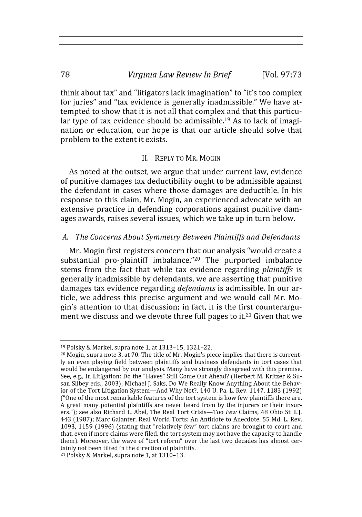think about tax" and "litigators lack imagination" to "it's too complex for juries" and "tax evidence is generally inadmissible." We have attempted to show that it is not all that complex and that this particular type of tax evidence should be admissible.<sup>19</sup> As to lack of imagination or education, our hope is that our article should solve that problem to the extent it exists.

### II. REPLY TO MR. MOGIN

As noted at the outset, we argue that under current law, evidence of punitive damages tax deductibility ought to be admissible against the defendant in cases where those damages are deductible. In his response to this claim, Mr. Mogin, an experienced advocate with an extensive practice in defending corporations against punitive damages awards, raises several issues, which we take up in turn below.

### *A. The Concerns About Symmetry Between Plaintiffs and Defendants*

Mr. Mogin first registers concern that our analysis "would create a substantial pro-plaintiff imbalance."<sup>20</sup> The purported imbalance stems from the fact that while tax evidence regarding *plaintiffs* is generally inadmissible **by** defendants, we are asserting that punitive damages tax evidence regarding *defendants* is admissible. In our article, we address this precise argument and we would call Mr. Mogin's attention to that discussion; in fact, it is the first counterargument we discuss and we devote three full pages to it.<sup>21</sup> Given that we

<sup>19</sup>Polsky & Markel, supra note **1,** at 1313-15, 1321-22.

 $20$  Mogin, supra note 3, at 70. The title of Mr. Mogin's piece implies that there is currently an even playing field between plaintiffs and business defendants in tort cases that would be endangered by our analysis. Many have strongly disagreed with this premise. See, e.g., In Litigation: Do the "Haves" Still Come Out Ahead? (Herbert M. Kritzer & Susan Silbey eds., 2003); Michael J. Saks, Do We Really Know Anything About the Behavior of the Tort Litigation System-And Why Not?, 140 U. Pa. L. Rev. 1147, 1183 (1992) ("One of the most remarkable features of the tort system is how few plaintiffs there are. A great many potential plaintiffs are never heard from by the injurers or their insurers."); see also Richard L. Abel, The Real Tort Crisis-Too Few Claims, 48 Ohio St. L.J. 443 (1987); Marc Galanter, Real World Torts: An Antidote to Anecdote, 55 Md. L. Rev. 1093, 1159 (1996) (stating that "relatively few" tort claims are brought to court and that, even if more claims were filed, the tort system may not have the capacity to handle them). Moreover, the wave of "tort reform" over the last two decades has almost certainly not been tilted in the direction of plaintiffs.

<sup>21</sup> Polsky & Markel, supra note 1, at 1310-13.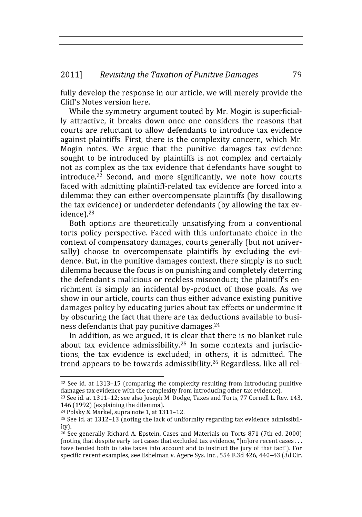fully develop the response in our article, we will merely provide the Cliff's Notes version here.

While the symmetry argument touted by Mr. Mogin is superficially attractive, it breaks down once one considers the reasons that courts are reluctant to allow defendants to introduce tax evidence against plaintiffs. First, there is the complexity concern, which Mr. Mogin notes. We argue that the punitive damages tax evidence sought to be introduced by plaintiffs is not complex and certainly not as complex as the tax evidence that defendants have sought to introduce.<sup>22</sup> Second, and more significantly, we note how courts faced with admitting plaintiff-related tax evidence are forced into a dilemma: they can either overcompensate plaintiffs (by disallowing the tax evidence) or underdeter defendants (by allowing the tax evidence).<sup>23</sup>

Both options are theoretically unsatisfying from a conventional torts policy perspective. Faced with this unfortunate choice in the context of compensatory damages, courts generally (but not universally) choose to overcompensate plaintiffs by excluding the evidence. But, in the punitive damages context, there simply is no such dilemma because the focus is on punishing and completely deterring the defendant's malicious or reckless misconduct; the plaintiff's enrichment is simply an incidental by-product of those goals. As we show in our article, courts can thus either advance existing punitive damages policy by educating juries about tax effects or undermine it by obscuring the fact that there are tax deductions available to business defendants that pay punitive damages. <sup>24</sup>

In addition, as we argued, it is clear that there is no blanket rule about tax evidence admissibility.<sup>25</sup> In some contexts and jurisdictions, the tax evidence is excluded; in others, it is admitted. The trend appears to be towards admissibility.<sup>26</sup> Regardless, like all rel-

 $^{24}$  Polsky & Markel, supra note 1, at 1311-12.

 $22$  See id. at 1313–15 (comparing the complexity resulting from introducing punitive damages tax evidence with the complexity from introducing other tax evidence).

<sup>&</sup>lt;sup>23</sup> See id. at 1311-12; see also Joseph M. Dodge, Taxes and Torts, 77 Cornell L. Rev. 143, 146 (1992) (explaining the dilemma).

<sup>25</sup> See id. at 1312-13 (noting the lack of uniformity regarding tax evidence admissibility).

<sup>26</sup>See generally Richard A. Epstein, Cases and Materials on Torts 871 (7th ed. 2000) (noting that despite early tort cases that excluded tax evidence, "[m]ore recent cases ... have tended both to take taxes into account and to instruct the jury of that fact"). For specific recent examples, see Eshelman v. Agere Sys. Inc., 554 F.3d 426, 440-43 (3d Cir.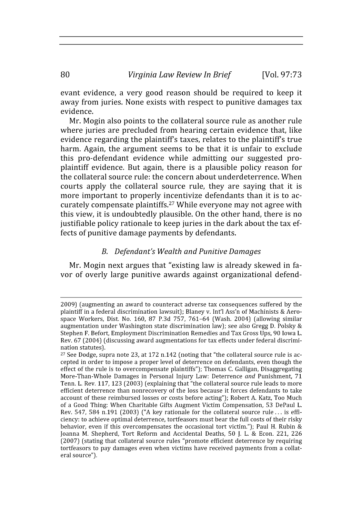evant evidence, a very good reason should be required to keep it away from juries. None exists with respect to punitive damages tax evidence.

Mr. Mogin also points to the collateral source rule as another rule where juries are precluded from hearing certain evidence that, like evidence regarding the plaintiff's taxes, relates to the plaintiff's true harm. Again, the argument seems to be that it is unfair to exclude this pro-defendant evidence while admitting our suggested proplaintiff evidence. But again, there is a plausible policy reason for the collateral source rule: the concern about underdeterrence. When courts apply the collateral source rule, they are saying that it is more important to properly incentivize defendants than it is to accurately compensate plaintiffs. 27 While everyone may not agree with this view, it is undoubtedly plausible. On the other hand, there is no justifiable policy rationale to keep juries in the dark about the tax effects of punitive damage payments by defendants.

#### *B. Defendant's Wealth and Punitive Damages*

Mr. Mogin next argues that "existing law is already skewed in favor of overly large punitive awards against organizational defend-

80

<sup>2009)</sup> (augmenting an award to counteract adverse tax consequences suffered by the plaintiff in a federal discrimination lawsuit); Blaney v. Int'l Ass'n of Machinists & Aerospace Workers, Dist. No. 160, 87 P.3d 757, 761-64 (Wash. 2004) (allowing similar augmentation under Washington state discrimination law); see also Gregg D. Polsky & Stephen F. Befort, Employment Discrimination Remedies and Tax Gross Ups, 90 Iowa L. Rev. 67 (2004) (discussing award augmentations for tax effects under federal discrimination statutes).

**<sup>27</sup>** See Dodge, supra note 23, at 172 n.142 (noting that "the collateral source rule is accepted in order to impose a proper level of deterrence on defendants, even though the effect of the rule is to overcompensate plaintiffs"); Thomas C. Galligan, Disaggregating More-Than-Whole Damages in Personal Injury Law: Deterrence *and* Punishment, 71 Tenn. L. Rev. 117, 123 (2003) (explaining that "the collateral source rule leads to more efficient deterrence than nonrecovery of the loss because it forces defendants to take account of these reimbursed losses or costs before acting"); Robert A. Katz, Too Much of a Good Thing: When Charitable Gifts Augment Victim Compensation, 53 DePaul L. Rev. 547, 584 n.191 (2003) ("A key rationale for the collateral source rule... is efficiency: to achieve optimal deterrence, tortfeasors must bear the full costs of their risky behavior, even if this overcompensates the occasional tort victim."); Paul H. Rubin & Joanna M. Shepherd, Tort Reform and Accidental Deaths, 50 **J.** L. & Econ. 221, 226 (2007) (stating that collateral source rules "promote efficient deterrence by requiring tortfeasors to pay damages even when victims have received payments from a collateral source").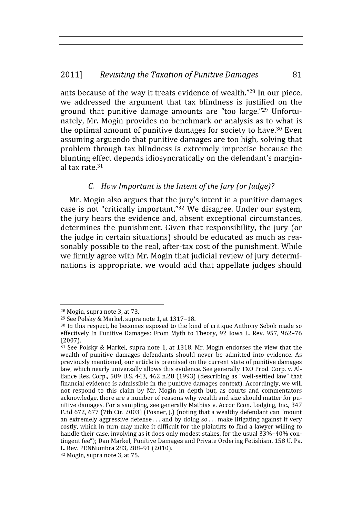#### 2011] *Revisiting the Taxation of Punitive Damages* 81

ants because of the way it treats evidence of wealth."28 In our piece, we addressed the argument that tax blindness is justified on the ground that punitive damage amounts are "too large."29 Unfortunately, Mr. Mogin provides no benchmark or analysis as to what is the optimal amount of punitive damages for society to have.<sup>30</sup> Even assuming arguendo that punitive damages are too high, solving that problem through tax blindness is extremely imprecise because the blunting effect depends idiosyncratically on the defendant's marginal tax rate.<sup>31</sup>

### *C. How Important is the Intent of the Jury (or Judge)?*

Mr. Mogin also argues that the jury's intent in a punitive damages case is not "critically important."32 We disagree. Under our system, the jury hears the evidence and, absent exceptional circumstances, determines the punishment. Given that responsibility, the jury (or the judge in certain situations) should be educated as much as reasonably possible to the real, after-tax cost of the punishment. While we firmly agree with Mr. Mogin that judicial review of jury determinations is appropriate, we would add that appellate judges should

**<sup>28</sup>**Mogin, supra note 3, at 73.

**<sup>29</sup>**See Polsky & Markel, supra note 1, at 1317-18.

**<sup>30</sup>**In this respect, he becomes exposed to the kind of critique Anthony Sebok made so effectively in Punitive Damages: From Myth to Theory, 92 Iowa L. Rev. 957, 962-76 (2007).

**<sup>31</sup>**See Polsky & Markel, supra note 1, at 1318. Mr. Mogin endorses the view that the wealth of punitive damages defendants should never be admitted into evidence. As previously mentioned, our article is premised on the current state of punitive damages law, which nearly universally allows this evidence. See generally TXO Prod. Corp. v. Alliance Res. Corp., 509 U.S. 443, 462 n.28 (1993) (describing as "well-settled law" that financial evidence is admissible in the punitive damages context). Accordingly, we will not respond to this claim by Mr. Mogin in depth but, as courts and commentators acknowledge, there are a number of reasons why wealth and size should matter for punitive damages. For a sampling, see generally Mathias v. Accor Econ. Lodging, Inc., 347 F.3d 672, 677 (7th Cir. 2003) (Posner, J.) (noting that a wealthy defendant can "mount an extremely aggressive defense.., and by doing so ... make litigating against it very costly, which in turn may make it difficult for the plaintiffs to find a lawyer willing to handle their case, involving as it does only modest stakes, for the usual 33%-40% contingent fee"); Dan Markel, Punitive Damages and Private Ordering Fetishism, 158 U. Pa. L. Rev. PENNumbra 283, 288-91 (2010).

**<sup>32</sup>** Mogin, supra note 3, at 75.